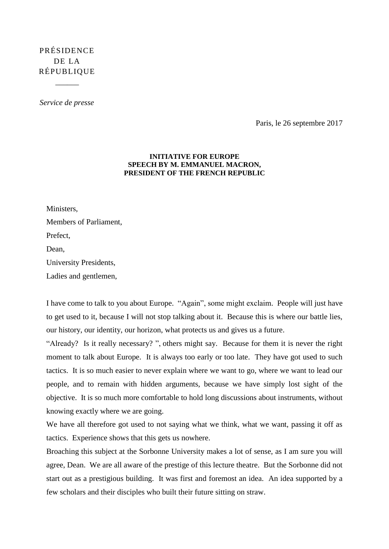## PRÉSIDENCE DE LA RÉPUBLIQUE

 $\overline{\phantom{a}}$ 

*Service de presse*

Paris, le 26 septembre 2017

## **INITIATIVE FOR EUROPE SPEECH BY M. EMMANUEL MACRON, PRESIDENT OF THE FRENCH REPUBLIC**

Ministers, Members of Parliament, Prefect, Dean, University Presidents, Ladies and gentlemen,

I have come to talk to you about Europe. "Again", some might exclaim. People will just have to get used to it, because I will not stop talking about it. Because this is where our battle lies, our history, our identity, our horizon, what protects us and gives us a future.

"Already? Is it really necessary? ", others might say. Because for them it is never the right moment to talk about Europe. It is always too early or too late. They have got used to such tactics. It is so much easier to never explain where we want to go, where we want to lead our people, and to remain with hidden arguments, because we have simply lost sight of the objective. It is so much more comfortable to hold long discussions about instruments, without knowing exactly where we are going.

We have all therefore got used to not saying what we think, what we want, passing it off as tactics. Experience shows that this gets us nowhere.

Broaching this subject at the Sorbonne University makes a lot of sense, as I am sure you will agree, Dean. We are all aware of the prestige of this lecture theatre. But the Sorbonne did not start out as a prestigious building. It was first and foremost an idea. An idea supported by a few scholars and their disciples who built their future sitting on straw.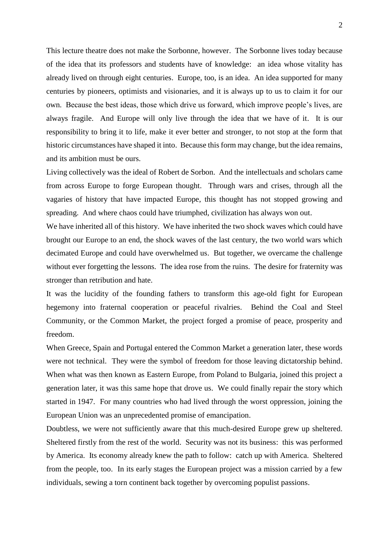This lecture theatre does not make the Sorbonne, however. The Sorbonne lives today because of the idea that its professors and students have of knowledge: an idea whose vitality has already lived on through eight centuries. Europe, too, is an idea. An idea supported for many centuries by pioneers, optimists and visionaries, and it is always up to us to claim it for our own. Because the best ideas, those which drive us forward, which improve people's lives, are always fragile. And Europe will only live through the idea that we have of it. It is our responsibility to bring it to life, make it ever better and stronger, to not stop at the form that historic circumstances have shaped it into. Because this form may change, but the idea remains, and its ambition must be ours.

Living collectively was the ideal of Robert de Sorbon. And the intellectuals and scholars came from across Europe to forge European thought. Through wars and crises, through all the vagaries of history that have impacted Europe, this thought has not stopped growing and spreading. And where chaos could have triumphed, civilization has always won out.

We have inherited all of this history. We have inherited the two shock waves which could have brought our Europe to an end, the shock waves of the last century, the two world wars which decimated Europe and could have overwhelmed us. But together, we overcame the challenge without ever forgetting the lessons. The idea rose from the ruins. The desire for fraternity was stronger than retribution and hate.

It was the lucidity of the founding fathers to transform this age-old fight for European hegemony into fraternal cooperation or peaceful rivalries. Behind the Coal and Steel Community, or the Common Market, the project forged a promise of peace, prosperity and freedom.

When Greece, Spain and Portugal entered the Common Market a generation later, these words were not technical. They were the symbol of freedom for those leaving dictatorship behind. When what was then known as Eastern Europe, from Poland to Bulgaria, joined this project a generation later, it was this same hope that drove us. We could finally repair the story which started in 1947. For many countries who had lived through the worst oppression, joining the European Union was an unprecedented promise of emancipation.

Doubtless, we were not sufficiently aware that this much-desired Europe grew up sheltered. Sheltered firstly from the rest of the world. Security was not its business: this was performed by America. Its economy already knew the path to follow: catch up with America. Sheltered from the people, too. In its early stages the European project was a mission carried by a few individuals, sewing a torn continent back together by overcoming populist passions.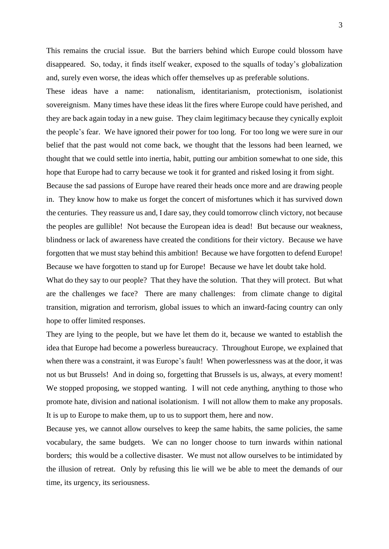This remains the crucial issue. But the barriers behind which Europe could blossom have disappeared. So, today, it finds itself weaker, exposed to the squalls of today's globalization and, surely even worse, the ideas which offer themselves up as preferable solutions.

These ideas have a name: nationalism, identitarianism, protectionism, isolationist sovereignism. Many times have these ideas lit the fires where Europe could have perished, and they are back again today in a new guise. They claim legitimacy because they cynically exploit the people's fear. We have ignored their power for too long. For too long we were sure in our belief that the past would not come back, we thought that the lessons had been learned, we thought that we could settle into inertia, habit, putting our ambition somewhat to one side, this hope that Europe had to carry because we took it for granted and risked losing it from sight.

Because the sad passions of Europe have reared their heads once more and are drawing people in. They know how to make us forget the concert of misfortunes which it has survived down the centuries. They reassure us and, I dare say, they could tomorrow clinch victory, not because the peoples are gullible! Not because the European idea is dead! But because our weakness, blindness or lack of awareness have created the conditions for their victory. Because we have forgotten that we must stay behind this ambition! Because we have forgotten to defend Europe! Because we have forgotten to stand up for Europe! Because we have let doubt take hold.

What do they say to our people? That they have the solution. That they will protect. But what are the challenges we face? There are many challenges: from climate change to digital transition, migration and terrorism, global issues to which an inward-facing country can only hope to offer limited responses.

They are lying to the people, but we have let them do it, because we wanted to establish the idea that Europe had become a powerless bureaucracy. Throughout Europe, we explained that when there was a constraint, it was Europe's fault! When powerlessness was at the door, it was not us but Brussels! And in doing so, forgetting that Brussels is us, always, at every moment! We stopped proposing, we stopped wanting. I will not cede anything, anything to those who promote hate, division and national isolationism. I will not allow them to make any proposals. It is up to Europe to make them, up to us to support them, here and now.

Because yes, we cannot allow ourselves to keep the same habits, the same policies, the same vocabulary, the same budgets. We can no longer choose to turn inwards within national borders; this would be a collective disaster. We must not allow ourselves to be intimidated by the illusion of retreat. Only by refusing this lie will we be able to meet the demands of our time, its urgency, its seriousness.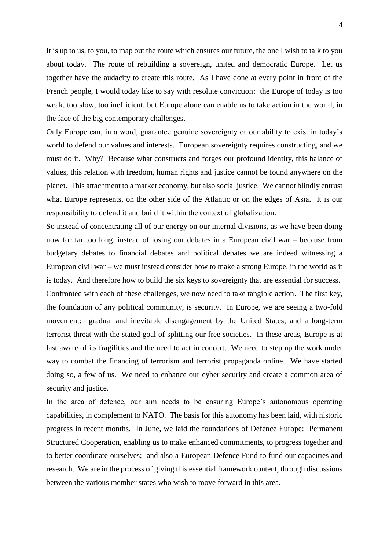It is up to us, to you, to map out the route which ensures our future, the one I wish to talk to you about today. The route of rebuilding a sovereign, united and democratic Europe. Let us together have the audacity to create this route. As I have done at every point in front of the French people, I would today like to say with resolute conviction: the Europe of today is too weak, too slow, too inefficient, but Europe alone can enable us to take action in the world, in the face of the big contemporary challenges.

Only Europe can, in a word, guarantee genuine sovereignty or our ability to exist in today's world to defend our values and interests. European sovereignty requires constructing, and we must do it. Why? Because what constructs and forges our profound identity, this balance of values, this relation with freedom, human rights and justice cannot be found anywhere on the planet. This attachment to a market economy, but also social justice. We cannot blindly entrust what Europe represents, on the other side of the Atlantic or on the edges of Asia**.** It is our responsibility to defend it and build it within the context of globalization.

So instead of concentrating all of our energy on our internal divisions, as we have been doing now for far too long, instead of losing our debates in a European civil war – because from budgetary debates to financial debates and political debates we are indeed witnessing a European civil war – we must instead consider how to make a strong Europe, in the world as it is today. And therefore how to build the six keys to sovereignty that are essential for success.

Confronted with each of these challenges, we now need to take tangible action. The first key, the foundation of any political community, is security. In Europe, we are seeing a two-fold movement: gradual and inevitable disengagement by the United States, and a long-term terrorist threat with the stated goal of splitting our free societies. In these areas, Europe is at last aware of its fragilities and the need to act in concert. We need to step up the work under way to combat the financing of terrorism and terrorist propaganda online. We have started doing so, a few of us. We need to enhance our cyber security and create a common area of security and justice.

In the area of defence, our aim needs to be ensuring Europe's autonomous operating capabilities, in complement to NATO. The basis for this autonomy has been laid, with historic progress in recent months. In June, we laid the foundations of Defence Europe: Permanent Structured Cooperation, enabling us to make enhanced commitments, to progress together and to better coordinate ourselves; and also a European Defence Fund to fund our capacities and research. We are in the process of giving this essential framework content, through discussions between the various member states who wish to move forward in this area.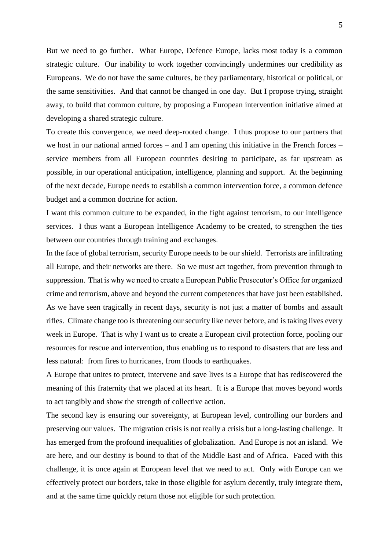But we need to go further. What Europe, Defence Europe, lacks most today is a common strategic culture. Our inability to work together convincingly undermines our credibility as Europeans. We do not have the same cultures, be they parliamentary, historical or political, or the same sensitivities. And that cannot be changed in one day. But I propose trying, straight away, to build that common culture, by proposing a European intervention initiative aimed at developing a shared strategic culture.

To create this convergence, we need deep-rooted change. I thus propose to our partners that we host in our national armed forces – and I am opening this initiative in the French forces – service members from all European countries desiring to participate, as far upstream as possible, in our operational anticipation, intelligence, planning and support. At the beginning of the next decade, Europe needs to establish a common intervention force, a common defence budget and a common doctrine for action.

I want this common culture to be expanded, in the fight against terrorism, to our intelligence services. I thus want a European Intelligence Academy to be created, to strengthen the ties between our countries through training and exchanges.

In the face of global terrorism, security Europe needs to be our shield. Terrorists are infiltrating all Europe, and their networks are there. So we must act together, from prevention through to suppression. That is why we need to create a European Public Prosecutor's Office for organized crime and terrorism, above and beyond the current competences that have just been established. As we have seen tragically in recent days, security is not just a matter of bombs and assault rifles. Climate change too is threatening our security like never before, and is taking lives every week in Europe. That is why I want us to create a European civil protection force, pooling our resources for rescue and intervention, thus enabling us to respond to disasters that are less and less natural: from fires to hurricanes, from floods to earthquakes.

A Europe that unites to protect, intervene and save lives is a Europe that has rediscovered the meaning of this fraternity that we placed at its heart. It is a Europe that moves beyond words to act tangibly and show the strength of collective action.

The second key is ensuring our sovereignty, at European level, controlling our borders and preserving our values. The migration crisis is not really a crisis but a long-lasting challenge. It has emerged from the profound inequalities of globalization. And Europe is not an island. We are here, and our destiny is bound to that of the Middle East and of Africa. Faced with this challenge, it is once again at European level that we need to act. Only with Europe can we effectively protect our borders, take in those eligible for asylum decently, truly integrate them, and at the same time quickly return those not eligible for such protection.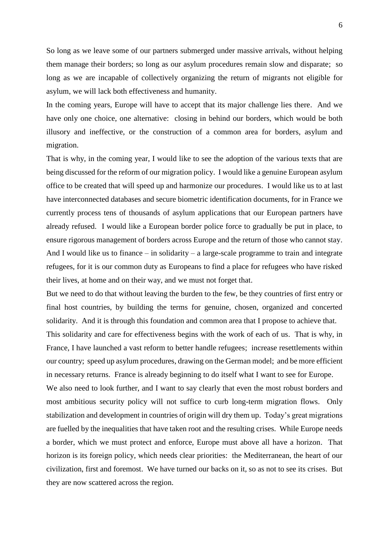So long as we leave some of our partners submerged under massive arrivals, without helping them manage their borders; so long as our asylum procedures remain slow and disparate; so long as we are incapable of collectively organizing the return of migrants not eligible for asylum, we will lack both effectiveness and humanity.

In the coming years, Europe will have to accept that its major challenge lies there. And we have only one choice, one alternative: closing in behind our borders, which would be both illusory and ineffective, or the construction of a common area for borders, asylum and migration.

That is why, in the coming year, I would like to see the adoption of the various texts that are being discussed for the reform of our migration policy. I would like a genuine European asylum office to be created that will speed up and harmonize our procedures. I would like us to at last have interconnected databases and secure biometric identification documents, for in France we currently process tens of thousands of asylum applications that our European partners have already refused. I would like a European border police force to gradually be put in place, to ensure rigorous management of borders across Europe and the return of those who cannot stay. And I would like us to finance – in solidarity – a large-scale programme to train and integrate refugees, for it is our common duty as Europeans to find a place for refugees who have risked their lives, at home and on their way, and we must not forget that.

But we need to do that without leaving the burden to the few, be they countries of first entry or final host countries, by building the terms for genuine, chosen, organized and concerted solidarity. And it is through this foundation and common area that I propose to achieve that.

This solidarity and care for effectiveness begins with the work of each of us. That is why, in France, I have launched a vast reform to better handle refugees; increase resettlements within our country; speed up asylum procedures, drawing on the German model; and be more efficient in necessary returns. France is already beginning to do itself what I want to see for Europe.

We also need to look further, and I want to say clearly that even the most robust borders and most ambitious security policy will not suffice to curb long-term migration flows. Only stabilization and development in countries of origin will dry them up. Today's great migrations are fuelled by the inequalities that have taken root and the resulting crises. While Europe needs a border, which we must protect and enforce, Europe must above all have a horizon. That horizon is its foreign policy, which needs clear priorities: the Mediterranean, the heart of our civilization, first and foremost. We have turned our backs on it, so as not to see its crises. But they are now scattered across the region.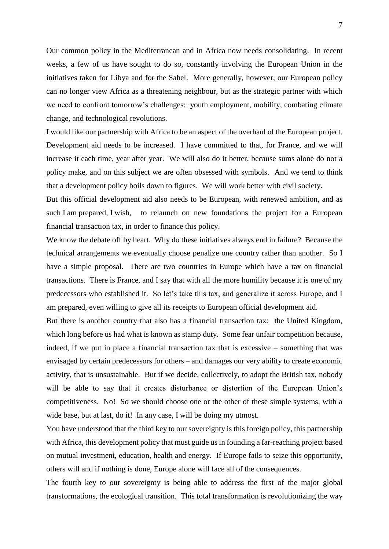Our common policy in the Mediterranean and in Africa now needs consolidating. In recent weeks, a few of us have sought to do so, constantly involving the European Union in the initiatives taken for Libya and for the Sahel. More generally, however, our European policy can no longer view Africa as a threatening neighbour, but as the strategic partner with which we need to confront tomorrow's challenges: youth employment, mobility, combating climate change, and technological revolutions.

I would like our partnership with Africa to be an aspect of the overhaul of the European project. Development aid needs to be increased. I have committed to that, for France, and we will increase it each time, year after year. We will also do it better, because sums alone do not a policy make, and on this subject we are often obsessed with symbols. And we tend to think that a development policy boils down to figures. We will work better with civil society.

But this official development aid also needs to be European, with renewed ambition, and as such I am prepared, I wish, to relaunch on new foundations the project for a European financial transaction tax, in order to finance this policy.

We know the debate off by heart. Why do these initiatives always end in failure? Because the technical arrangements we eventually choose penalize one country rather than another. So I have a simple proposal. There are two countries in Europe which have a tax on financial transactions. There is France, and I say that with all the more humility because it is one of my predecessors who established it. So let's take this tax, and generalize it across Europe, and I am prepared, even willing to give all its receipts to European official development aid.

But there is another country that also has a financial transaction tax: the United Kingdom, which long before us had what is known as stamp duty. Some fear unfair competition because, indeed, if we put in place a financial transaction tax that is excessive – something that was envisaged by certain predecessors for others – and damages our very ability to create economic activity, that is unsustainable. But if we decide, collectively, to adopt the British tax, nobody will be able to say that it creates disturbance or distortion of the European Union's competitiveness. No! So we should choose one or the other of these simple systems, with a wide base, but at last, do it! In any case, I will be doing my utmost.

You have understood that the third key to our sovereignty is this foreign policy, this partnership with Africa, this development policy that must guide us in founding a far-reaching project based on mutual investment, education, health and energy. If Europe fails to seize this opportunity, others will and if nothing is done, Europe alone will face all of the consequences.

The fourth key to our sovereignty is being able to address the first of the major global transformations, the ecological transition. This total transformation is revolutionizing the way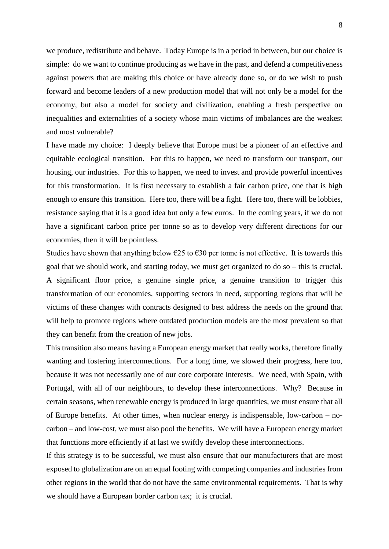we produce, redistribute and behave. Today Europe is in a period in between, but our choice is simple: do we want to continue producing as we have in the past, and defend a competitiveness against powers that are making this choice or have already done so, or do we wish to push forward and become leaders of a new production model that will not only be a model for the economy, but also a model for society and civilization, enabling a fresh perspective on inequalities and externalities of a society whose main victims of imbalances are the weakest and most vulnerable?

I have made my choice: I deeply believe that Europe must be a pioneer of an effective and equitable ecological transition. For this to happen, we need to transform our transport, our housing, our industries. For this to happen, we need to invest and provide powerful incentives for this transformation. It is first necessary to establish a fair carbon price, one that is high enough to ensure this transition. Here too, there will be a fight. Here too, there will be lobbies, resistance saying that it is a good idea but only a few euros. In the coming years, if we do not have a significant carbon price per tonne so as to develop very different directions for our economies, then it will be pointless.

Studies have shown that anything below  $\epsilon$ 25 to  $\epsilon$ 30 per tonne is not effective. It is towards this goal that we should work, and starting today, we must get organized to do so – this is crucial. A significant floor price, a genuine single price, a genuine transition to trigger this transformation of our economies, supporting sectors in need, supporting regions that will be victims of these changes with contracts designed to best address the needs on the ground that will help to promote regions where outdated production models are the most prevalent so that they can benefit from the creation of new jobs.

This transition also means having a European energy market that really works, therefore finally wanting and fostering interconnections. For a long time, we slowed their progress, here too, because it was not necessarily one of our core corporate interests. We need, with Spain, with Portugal, with all of our neighbours, to develop these interconnections. Why? Because in certain seasons, when renewable energy is produced in large quantities, we must ensure that all of Europe benefits. At other times, when nuclear energy is indispensable, low-carbon – nocarbon – and low-cost, we must also pool the benefits. We will have a European energy market that functions more efficiently if at last we swiftly develop these interconnections.

If this strategy is to be successful, we must also ensure that our manufacturers that are most exposed to globalization are on an equal footing with competing companies and industries from other regions in the world that do not have the same environmental requirements. That is why we should have a European border carbon tax; it is crucial.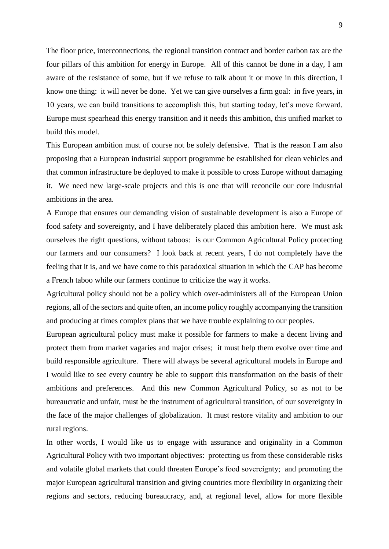The floor price, interconnections, the regional transition contract and border carbon tax are the four pillars of this ambition for energy in Europe. All of this cannot be done in a day, I am aware of the resistance of some, but if we refuse to talk about it or move in this direction, I know one thing: it will never be done. Yet we can give ourselves a firm goal: in five years, in 10 years, we can build transitions to accomplish this, but starting today, let's move forward. Europe must spearhead this energy transition and it needs this ambition, this unified market to build this model.

This European ambition must of course not be solely defensive. That is the reason I am also proposing that a European industrial support programme be established for clean vehicles and that common infrastructure be deployed to make it possible to cross Europe without damaging it. We need new large-scale projects and this is one that will reconcile our core industrial ambitions in the area.

A Europe that ensures our demanding vision of sustainable development is also a Europe of food safety and sovereignty, and I have deliberately placed this ambition here. We must ask ourselves the right questions, without taboos: is our Common Agricultural Policy protecting our farmers and our consumers? I look back at recent years, I do not completely have the feeling that it is, and we have come to this paradoxical situation in which the CAP has become a French taboo while our farmers continue to criticize the way it works.

Agricultural policy should not be a policy which over-administers all of the European Union regions, all of the sectors and quite often, an income policy roughly accompanying the transition and producing at times complex plans that we have trouble explaining to our peoples.

European agricultural policy must make it possible for farmers to make a decent living and protect them from market vagaries and major crises; it must help them evolve over time and build responsible agriculture. There will always be several agricultural models in Europe and I would like to see every country be able to support this transformation on the basis of their ambitions and preferences. And this new Common Agricultural Policy, so as not to be bureaucratic and unfair, must be the instrument of agricultural transition, of our sovereignty in the face of the major challenges of globalization. It must restore vitality and ambition to our rural regions.

In other words, I would like us to engage with assurance and originality in a Common Agricultural Policy with two important objectives: protecting us from these considerable risks and volatile global markets that could threaten Europe's food sovereignty; and promoting the major European agricultural transition and giving countries more flexibility in organizing their regions and sectors, reducing bureaucracy, and, at regional level, allow for more flexible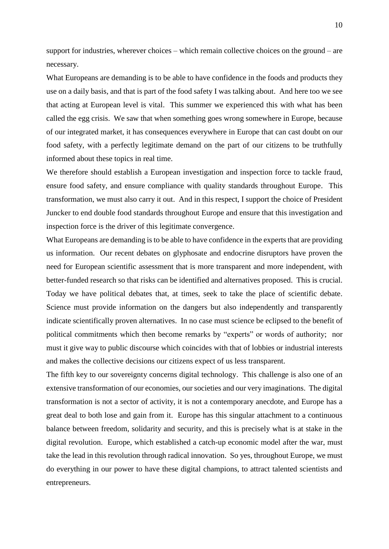support for industries, wherever choices – which remain collective choices on the ground – are necessary.

What Europeans are demanding is to be able to have confidence in the foods and products they use on a daily basis, and that is part of the food safety I was talking about. And here too we see that acting at European level is vital. This summer we experienced this with what has been called the egg crisis. We saw that when something goes wrong somewhere in Europe, because of our integrated market, it has consequences everywhere in Europe that can cast doubt on our food safety, with a perfectly legitimate demand on the part of our citizens to be truthfully informed about these topics in real time.

We therefore should establish a European investigation and inspection force to tackle fraud, ensure food safety, and ensure compliance with quality standards throughout Europe. This transformation, we must also carry it out. And in this respect, I support the choice of President Juncker to end double food standards throughout Europe and ensure that this investigation and inspection force is the driver of this legitimate convergence.

What Europeans are demanding is to be able to have confidence in the experts that are providing us information. Our recent debates on glyphosate and endocrine disruptors have proven the need for European scientific assessment that is more transparent and more independent, with better-funded research so that risks can be identified and alternatives proposed. This is crucial. Today we have political debates that, at times, seek to take the place of scientific debate. Science must provide information on the dangers but also independently and transparently indicate scientifically proven alternatives. In no case must science be eclipsed to the benefit of political commitments which then become remarks by "experts" or words of authority; nor must it give way to public discourse which coincides with that of lobbies or industrial interests and makes the collective decisions our citizens expect of us less transparent.

The fifth key to our sovereignty concerns digital technology. This challenge is also one of an extensive transformation of our economies, our societies and our very imaginations. The digital transformation is not a sector of activity, it is not a contemporary anecdote, and Europe has a great deal to both lose and gain from it. Europe has this singular attachment to a continuous balance between freedom, solidarity and security, and this is precisely what is at stake in the digital revolution. Europe, which established a catch-up economic model after the war, must take the lead in this revolution through radical innovation. So yes, throughout Europe, we must do everything in our power to have these digital champions, to attract talented scientists and entrepreneurs.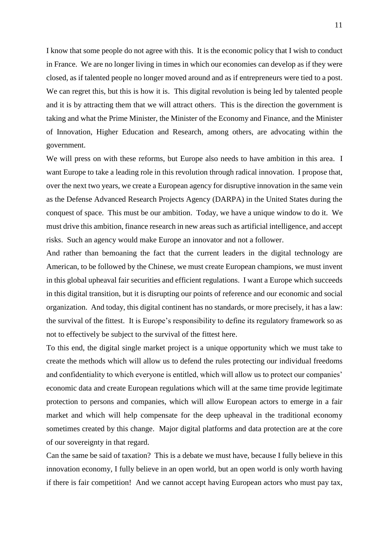I know that some people do not agree with this. It is the economic policy that I wish to conduct in France. We are no longer living in times in which our economies can develop as if they were closed, as if talented people no longer moved around and as if entrepreneurs were tied to a post. We can regret this, but this is how it is. This digital revolution is being led by talented people and it is by attracting them that we will attract others. This is the direction the government is taking and what the Prime Minister, the Minister of the Economy and Finance, and the Minister of Innovation, Higher Education and Research, among others, are advocating within the government.

We will press on with these reforms, but Europe also needs to have ambition in this area. I want Europe to take a leading role in this revolution through radical innovation. I propose that, over the next two years, we create a European agency for disruptive innovation in the same vein as the Defense Advanced Research Projects Agency (DARPA) in the United States during the conquest of space. This must be our ambition. Today, we have a unique window to do it. We must drive this ambition, finance research in new areas such as artificial intelligence, and accept risks. Such an agency would make Europe an innovator and not a follower.

And rather than bemoaning the fact that the current leaders in the digital technology are American, to be followed by the Chinese, we must create European champions, we must invent in this global upheaval fair securities and efficient regulations. I want a Europe which succeeds in this digital transition, but it is disrupting our points of reference and our economic and social organization. And today, this digital continent has no standards, or more precisely, it has a law: the survival of the fittest. It is Europe's responsibility to define its regulatory framework so as not to effectively be subject to the survival of the fittest here.

To this end, the digital single market project is a unique opportunity which we must take to create the methods which will allow us to defend the rules protecting our individual freedoms and confidentiality to which everyone is entitled, which will allow us to protect our companies' economic data and create European regulations which will at the same time provide legitimate protection to persons and companies, which will allow European actors to emerge in a fair market and which will help compensate for the deep upheaval in the traditional economy sometimes created by this change. Major digital platforms and data protection are at the core of our sovereignty in that regard.

Can the same be said of taxation? This is a debate we must have, because I fully believe in this innovation economy, I fully believe in an open world, but an open world is only worth having if there is fair competition! And we cannot accept having European actors who must pay tax,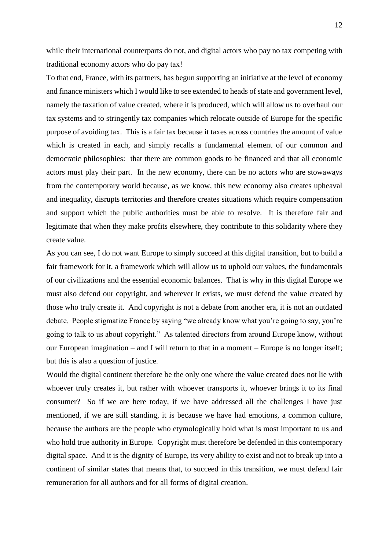while their international counterparts do not, and digital actors who pay no tax competing with traditional economy actors who do pay tax!

To that end, France, with its partners, has begun supporting an initiative at the level of economy and finance ministers which I would like to see extended to heads of state and government level, namely the taxation of value created, where it is produced, which will allow us to overhaul our tax systems and to stringently tax companies which relocate outside of Europe for the specific purpose of avoiding tax. This is a fair tax because it taxes across countries the amount of value which is created in each, and simply recalls a fundamental element of our common and democratic philosophies: that there are common goods to be financed and that all economic actors must play their part. In the new economy, there can be no actors who are stowaways from the contemporary world because, as we know, this new economy also creates upheaval and inequality, disrupts territories and therefore creates situations which require compensation and support which the public authorities must be able to resolve. It is therefore fair and legitimate that when they make profits elsewhere, they contribute to this solidarity where they create value.

As you can see, I do not want Europe to simply succeed at this digital transition, but to build a fair framework for it, a framework which will allow us to uphold our values, the fundamentals of our civilizations and the essential economic balances. That is why in this digital Europe we must also defend our copyright, and wherever it exists, we must defend the value created by those who truly create it. And copyright is not a debate from another era, it is not an outdated debate. People stigmatize France by saying "we already know what you're going to say, you're going to talk to us about copyright." As talented directors from around Europe know, without our European imagination – and I will return to that in a moment – Europe is no longer itself; but this is also a question of justice.

Would the digital continent therefore be the only one where the value created does not lie with whoever truly creates it, but rather with whoever transports it, whoever brings it to its final consumer? So if we are here today, if we have addressed all the challenges I have just mentioned, if we are still standing, it is because we have had emotions, a common culture, because the authors are the people who etymologically hold what is most important to us and who hold true authority in Europe. Copyright must therefore be defended in this contemporary digital space. And it is the dignity of Europe, its very ability to exist and not to break up into a continent of similar states that means that, to succeed in this transition, we must defend fair remuneration for all authors and for all forms of digital creation.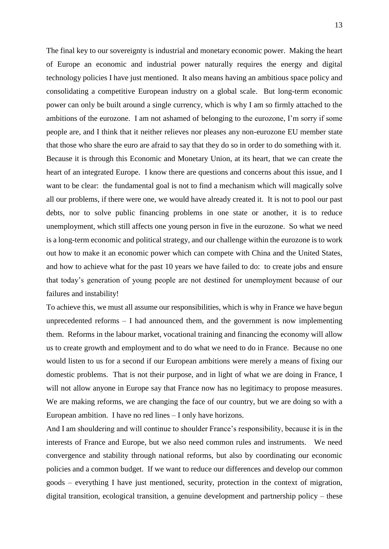The final key to our sovereignty is industrial and monetary economic power. Making the heart of Europe an economic and industrial power naturally requires the energy and digital technology policies I have just mentioned. It also means having an ambitious space policy and consolidating a competitive European industry on a global scale. But long-term economic power can only be built around a single currency, which is why I am so firmly attached to the ambitions of the eurozone. I am not ashamed of belonging to the eurozone, I'm sorry if some people are, and I think that it neither relieves nor pleases any non-eurozone EU member state that those who share the euro are afraid to say that they do so in order to do something with it. Because it is through this Economic and Monetary Union, at its heart, that we can create the heart of an integrated Europe. I know there are questions and concerns about this issue, and I want to be clear: the fundamental goal is not to find a mechanism which will magically solve all our problems, if there were one, we would have already created it. It is not to pool our past debts, nor to solve public financing problems in one state or another, it is to reduce unemployment, which still affects one young person in five in the eurozone. So what we need is a long-term economic and political strategy, and our challenge within the eurozone is to work out how to make it an economic power which can compete with China and the United States, and how to achieve what for the past 10 years we have failed to do: to create jobs and ensure that today's generation of young people are not destined for unemployment because of our failures and instability!

To achieve this, we must all assume our responsibilities, which is why in France we have begun unprecedented reforms – I had announced them, and the government is now implementing them. Reforms in the labour market, vocational training and financing the economy will allow us to create growth and employment and to do what we need to do in France. Because no one would listen to us for a second if our European ambitions were merely a means of fixing our domestic problems. That is not their purpose, and in light of what we are doing in France, I will not allow anyone in Europe say that France now has no legitimacy to propose measures. We are making reforms, we are changing the face of our country, but we are doing so with a European ambition. I have no red lines – I only have horizons.

And I am shouldering and will continue to shoulder France's responsibility, because it is in the interests of France and Europe, but we also need common rules and instruments. We need convergence and stability through national reforms, but also by coordinating our economic policies and a common budget. If we want to reduce our differences and develop our common goods – everything I have just mentioned, security, protection in the context of migration, digital transition, ecological transition, a genuine development and partnership policy – these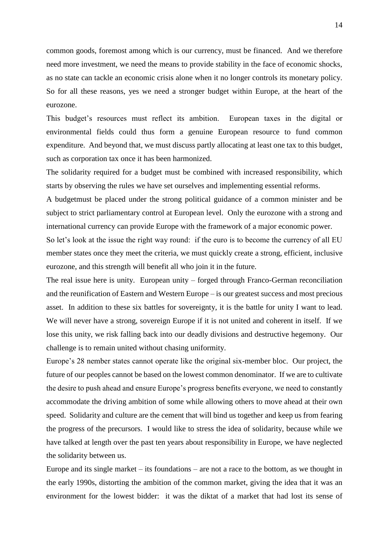common goods, foremost among which is our currency, must be financed. And we therefore need more investment, we need the means to provide stability in the face of economic shocks, as no state can tackle an economic crisis alone when it no longer controls its monetary policy. So for all these reasons, yes we need a stronger budget within Europe, at the heart of the eurozone.

This budget's resources must reflect its ambition. European taxes in the digital or environmental fields could thus form a genuine European resource to fund common expenditure. And beyond that, we must discuss partly allocating at least one tax to this budget, such as corporation tax once it has been harmonized.

The solidarity required for a budget must be combined with increased responsibility, which starts by observing the rules we have set ourselves and implementing essential reforms.

A budgetmust be placed under the strong political guidance of a common minister and be subject to strict parliamentary control at European level. Only the eurozone with a strong and international currency can provide Europe with the framework of a major economic power.

So let's look at the issue the right way round: if the euro is to become the currency of all EU member states once they meet the criteria, we must quickly create a strong, efficient, inclusive eurozone, and this strength will benefit all who join it in the future.

The real issue here is unity. European unity – forged through Franco-German reconciliation and the reunification of Eastern and Western Europe – is our greatest success and most precious asset. In addition to these six battles for sovereignty, it is the battle for unity I want to lead. We will never have a strong, sovereign Europe if it is not united and coherent in itself. If we lose this unity, we risk falling back into our deadly divisions and destructive hegemony. Our challenge is to remain united without chasing uniformity.

Europe's 28 nember states cannot operate like the original six-member bloc. Our project, the future of our peoples cannot be based on the lowest common denominator. If we are to cultivate the desire to push ahead and ensure Europe's progress benefits everyone, we need to constantly accommodate the driving ambition of some while allowing others to move ahead at their own speed. Solidarity and culture are the cement that will bind us together and keep us from fearing the progress of the precursors. I would like to stress the idea of solidarity, because while we have talked at length over the past ten years about responsibility in Europe, we have neglected the solidarity between us.

Europe and its single market – its foundations – are not a race to the bottom, as we thought in the early 1990s, distorting the ambition of the common market, giving the idea that it was an environment for the lowest bidder: it was the diktat of a market that had lost its sense of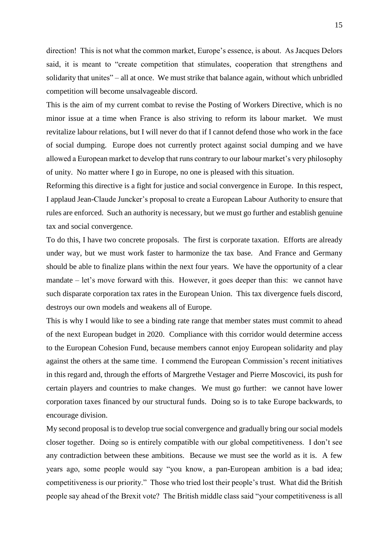direction! This is not what the common market, Europe's essence, is about. As Jacques Delors said, it is meant to "create competition that stimulates, cooperation that strengthens and solidarity that unites" – all at once. We must strike that balance again, without which unbridled competition will become unsalvageable discord.

This is the aim of my current combat to revise the Posting of Workers Directive, which is no minor issue at a time when France is also striving to reform its labour market. We must revitalize labour relations, but I will never do that if I cannot defend those who work in the face of social dumping. Europe does not currently protect against social dumping and we have allowed a European market to develop that runs contrary to our labour market's very philosophy of unity. No matter where I go in Europe, no one is pleased with this situation.

Reforming this directive is a fight for justice and social convergence in Europe. In this respect, I applaud Jean-Claude Juncker's proposal to create a European Labour Authority to ensure that rules are enforced. Such an authority is necessary, but we must go further and establish genuine tax and social convergence.

To do this, I have two concrete proposals. The first is corporate taxation. Efforts are already under way, but we must work faster to harmonize the tax base. And France and Germany should be able to finalize plans within the next four years. We have the opportunity of a clear mandate – let's move forward with this. However, it goes deeper than this: we cannot have such disparate corporation tax rates in the European Union. This tax divergence fuels discord, destroys our own models and weakens all of Europe.

This is why I would like to see a binding rate range that member states must commit to ahead of the next European budget in 2020. Compliance with this corridor would determine access to the European Cohesion Fund, because members cannot enjoy European solidarity and play against the others at the same time. I commend the European Commission's recent initiatives in this regard and, through the efforts of Margrethe Vestager and Pierre Moscovici, its push for certain players and countries to make changes. We must go further: we cannot have lower corporation taxes financed by our structural funds. Doing so is to take Europe backwards, to encourage division.

My second proposal is to develop true social convergence and gradually bring our social models closer together. Doing so is entirely compatible with our global competitiveness. I don't see any contradiction between these ambitions. Because we must see the world as it is. A few years ago, some people would say "you know, a pan-European ambition is a bad idea; competitiveness is our priority." Those who tried lost their people's trust. What did the British people say ahead of the Brexit vote? The British middle class said "your competitiveness is all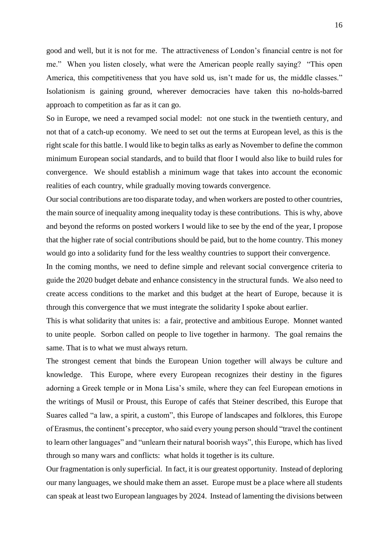good and well, but it is not for me. The attractiveness of London's financial centre is not for me." When you listen closely, what were the American people really saying? "This open America, this competitiveness that you have sold us, isn't made for us, the middle classes." Isolationism is gaining ground, wherever democracies have taken this no-holds-barred approach to competition as far as it can go.

So in Europe, we need a revamped social model: not one stuck in the twentieth century, and not that of a catch-up economy. We need to set out the terms at European level, as this is the right scale for this battle. I would like to begin talks as early as November to define the common minimum European social standards, and to build that floor I would also like to build rules for convergence. We should establish a minimum wage that takes into account the economic realities of each country, while gradually moving towards convergence.

Our social contributions are too disparate today, and when workers are posted to other countries, the main source of inequality among inequality today is these contributions. This is why, above and beyond the reforms on posted workers I would like to see by the end of the year, I propose that the higher rate of social contributions should be paid, but to the home country. This money would go into a solidarity fund for the less wealthy countries to support their convergence.

In the coming months, we need to define simple and relevant social convergence criteria to guide the 2020 budget debate and enhance consistency in the structural funds. We also need to create access conditions to the market and this budget at the heart of Europe, because it is through this convergence that we must integrate the solidarity I spoke about earlier.

This is what solidarity that unites is: a fair, protective and ambitious Europe. Monnet wanted to unite people. Sorbon called on people to live together in harmony. The goal remains the same. That is to what we must always return.

The strongest cement that binds the European Union together will always be culture and knowledge. This Europe, where every European recognizes their destiny in the figures adorning a Greek temple or in Mona Lisa's smile, where they can feel European emotions in the writings of Musil or Proust, this Europe of cafés that Steiner described, this Europe that Suares called "a law, a spirit, a custom", this Europe of landscapes and folklores, this Europe of Erasmus, the continent's preceptor, who said every young person should "travel the continent to learn other languages" and "unlearn their natural boorish ways", this Europe, which has lived through so many wars and conflicts: what holds it together is its culture.

Our fragmentation is only superficial. In fact, it is our greatest opportunity. Instead of deploring our many languages, we should make them an asset. Europe must be a place where all students can speak at least two European languages by 2024. Instead of lamenting the divisions between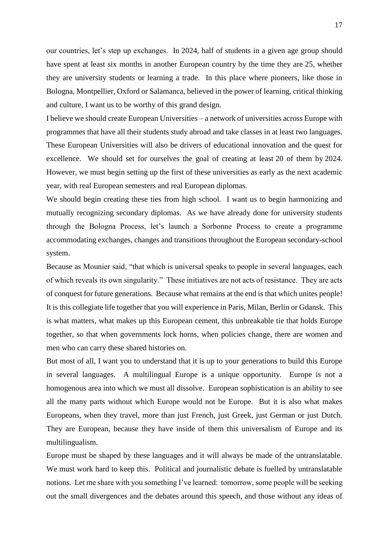our countries, let's step up exchanges. In 2024, half of students in a given age group should have spent at least six months in another European country by the time they are 25, whether they are university students or learning a trade. In this place where pioneers, like those in Bologna, Montpellier, Oxford or Salamanca, believed in the power of learning, critical thinking and culture, I want us to be worthy of this grand design.

I believe we should create European Universities – a network of universities across Europe with programmes that have all their students study abroad and take classes in at least two languages. These European Universities will also be drivers of educational innovation and the quest for excellence. We should set for ourselves the goal of creating at least 20 of them by 2024. However, we must begin setting up the first of these universities as early as the next academic year, with real European semesters and real European diplomas.

We should begin creating these ties from high school. I want us to begin harmonizing and mutually recognizing secondary diplomas. As we have already done for university students through the Bologna Process, let's launch a Sorbonne Process to create a programme accommodating exchanges, changes and transitions throughout the European secondary-school system.

Because as Mounier said, "that which is universal speaks to people in several languages, each of which reveals its own singularity." These initiatives are not acts of resistance. They are acts of conquest for future generations. Because what remains at the end is that which unites people! It is this collegiate life together that you will experience in Paris, Milan, Berlin or Gdansk. This is what matters, what makes up this European cement, this unbreakable tie that holds Europe together, so that when governments lock horns, when policies change, there are women and men who can carry these shared histories on.

But most of all, I want you to understand that it is up to your generations to build this Europe in several languages. A multilingual Europe is a unique opportunity. Europe is not a homogenous area into which we must all dissolve. European sophistication is an ability to see all the many parts without which Europe would not be Europe. But it is also what makes Europeans, when they travel, more than just French, just Greek, just German or just Dutch. They are European, because they have inside of them this universalism of Europe and its multilingualism.

Europe must be shaped by these languages and it will always be made of the untranslatable. We must work hard to keep this. Political and journalistic debate is fuelled by untranslatable notions. Let me share with you something I've learned: tomorrow, some people will be seeking out the small divergences and the debates around this speech, and those without any ideas of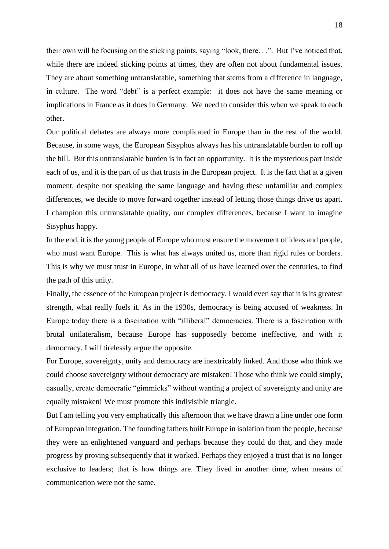their own will be focusing on the sticking points, saying "look, there. . .". But I've noticed that, while there are indeed sticking points at times, they are often not about fundamental issues. They are about something untranslatable, something that stems from a difference in language, in culture. The word "debt" is a perfect example: it does not have the same meaning or implications in France as it does in Germany. We need to consider this when we speak to each other.

Our political debates are always more complicated in Europe than in the rest of the world. Because, in some ways, the European Sisyphus always has his untranslatable burden to roll up the hill. But this untranslatable burden is in fact an opportunity. It is the mysterious part inside each of us, and it is the part of us that trusts in the European project. It is the fact that at a given moment, despite not speaking the same language and having these unfamiliar and complex differences, we decide to move forward together instead of letting those things drive us apart. I champion this untranslatable quality, our complex differences, because I want to imagine Sisyphus happy.

In the end, it is the young people of Europe who must ensure the movement of ideas and people, who must want Europe. This is what has always united us, more than rigid rules or borders. This is why we must trust in Europe, in what all of us have learned over the centuries, to find the path of this unity.

Finally, the essence of the European project is democracy. I would even say that it is its greatest strength, what really fuels it. As in the 1930s, democracy is being accused of weakness. In Europe today there is a fascination with "illiberal" democracies. There is a fascination with brutal unilateralism, because Europe has supposedly become ineffective, and with it democracy. I will tirelessly argue the opposite.

For Europe, sovereignty, unity and democracy are inextricably linked. And those who think we could choose sovereignty without democracy are mistaken! Those who think we could simply, casually, create democratic "gimmicks" without wanting a project of sovereignty and unity are equally mistaken! We must promote this indivisible triangle.

But I am telling you very emphatically this afternoon that we have drawn a line under one form of European integration. The founding fathers built Europe in isolation from the people, because they were an enlightened vanguard and perhaps because they could do that, and they made progress by proving subsequently that it worked. Perhaps they enjoyed a trust that is no longer exclusive to leaders; that is how things are. They lived in another time, when means of communication were not the same.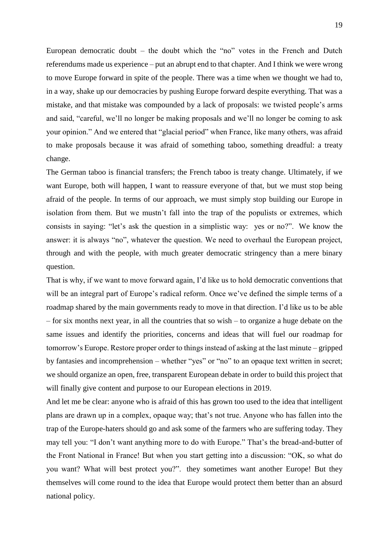European democratic doubt – the doubt which the "no" votes in the French and Dutch referendums made us experience – put an abrupt end to that chapter. And I think we were wrong to move Europe forward in spite of the people. There was a time when we thought we had to, in a way, shake up our democracies by pushing Europe forward despite everything. That was a mistake, and that mistake was compounded by a lack of proposals: we twisted people's arms and said, "careful, we'll no longer be making proposals and we'll no longer be coming to ask your opinion." And we entered that "glacial period" when France, like many others, was afraid to make proposals because it was afraid of something taboo, something dreadful: a treaty change.

The German taboo is financial transfers; the French taboo is treaty change. Ultimately, if we want Europe, both will happen, I want to reassure everyone of that, but we must stop being afraid of the people. In terms of our approach, we must simply stop building our Europe in isolation from them. But we mustn't fall into the trap of the populists or extremes, which consists in saying: "let's ask the question in a simplistic way: yes or no?". We know the answer: it is always "no", whatever the question. We need to overhaul the European project, through and with the people, with much greater democratic stringency than a mere binary question.

That is why, if we want to move forward again, I'd like us to hold democratic conventions that will be an integral part of Europe's radical reform. Once we've defined the simple terms of a roadmap shared by the main governments ready to move in that direction. I'd like us to be able – for six months next year, in all the countries that so wish – to organize a huge debate on the same issues and identify the priorities, concerns and ideas that will fuel our roadmap for tomorrow's Europe. Restore proper order to things instead of asking at the last minute – gripped by fantasies and incomprehension – whether "yes" or "no" to an opaque text written in secret; we should organize an open, free, transparent European debate in order to build this project that will finally give content and purpose to our European elections in 2019.

And let me be clear: anyone who is afraid of this has grown too used to the idea that intelligent plans are drawn up in a complex, opaque way; that's not true. Anyone who has fallen into the trap of the Europe-haters should go and ask some of the farmers who are suffering today. They may tell you: "I don't want anything more to do with Europe." That's the bread-and-butter of the Front National in France! But when you start getting into a discussion: "OK, so what do you want? What will best protect you?". they sometimes want another Europe! But they themselves will come round to the idea that Europe would protect them better than an absurd national policy.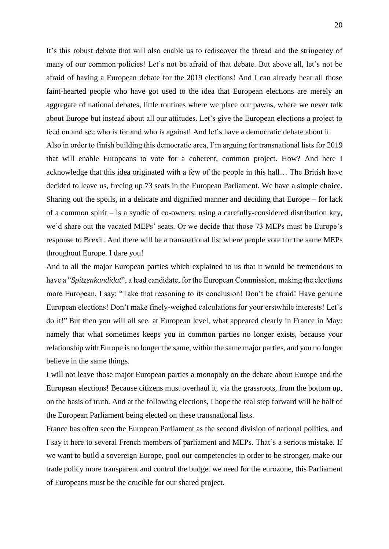It's this robust debate that will also enable us to rediscover the thread and the stringency of many of our common policies! Let's not be afraid of that debate. But above all, let's not be afraid of having a European debate for the 2019 elections! And I can already hear all those faint-hearted people who have got used to the idea that European elections are merely an aggregate of national debates, little routines where we place our pawns, where we never talk about Europe but instead about all our attitudes. Let's give the European elections a project to feed on and see who is for and who is against! And let's have a democratic debate about it.

Also in order to finish building this democratic area, I'm arguing for transnational lists for 2019 that will enable Europeans to vote for a coherent, common project. How? And here I acknowledge that this idea originated with a few of the people in this hall… The British have decided to leave us, freeing up 73 seats in the European Parliament. We have a simple choice. Sharing out the spoils, in a delicate and dignified manner and deciding that Europe – for lack of a common spirit – is a syndic of co-owners: using a carefully-considered distribution key, we'd share out the vacated MEPs' seats. Or we decide that those 73 MEPs must be Europe's response to Brexit. And there will be a transnational list where people vote for the same MEPs throughout Europe. I dare you!

And to all the major European parties which explained to us that it would be tremendous to have a "*Spitzenkandidat*", a lead candidate, for the European Commission, making the elections more European, I say: "Take that reasoning to its conclusion! Don't be afraid! Have genuine European elections! Don't make finely-weighed calculations for your erstwhile interests! Let's do it!" But then you will all see, at European level, what appeared clearly in France in May: namely that what sometimes keeps you in common parties no longer exists, because your relationship with Europe is no longer the same, within the same major parties, and you no longer believe in the same things.

I will not leave those major European parties a monopoly on the debate about Europe and the European elections! Because citizens must overhaul it, via the grassroots, from the bottom up, on the basis of truth. And at the following elections, I hope the real step forward will be half of the European Parliament being elected on these transnational lists.

France has often seen the European Parliament as the second division of national politics, and I say it here to several French members of parliament and MEPs. That's a serious mistake. If we want to build a sovereign Europe, pool our competencies in order to be stronger, make our trade policy more transparent and control the budget we need for the eurozone, this Parliament of Europeans must be the crucible for our shared project.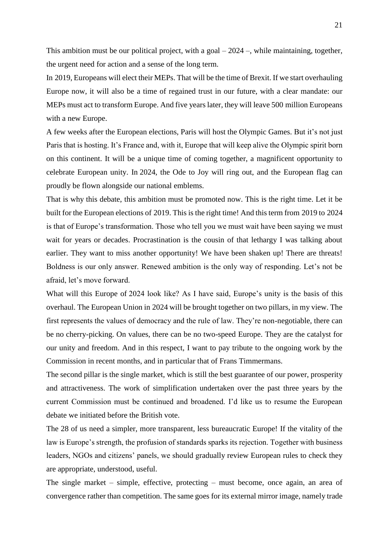This ambition must be our political project, with a goal – 2024 –, while maintaining, together, the urgent need for action and a sense of the long term.

In 2019, Europeans will elect their MEPs. That will be the time of Brexit. If we start overhauling Europe now, it will also be a time of regained trust in our future, with a clear mandate: our MEPs must act to transform Europe. And five years later, they will leave 500 million Europeans with a new Europe.

A few weeks after the European elections, Paris will host the Olympic Games. But it's not just Paris that is hosting. It's France and, with it, Europe that will keep alive the Olympic spirit born on this continent. It will be a unique time of coming together, a magnificent opportunity to celebrate European unity. In 2024, the Ode to Joy will ring out, and the European flag can proudly be flown alongside our national emblems.

That is why this debate, this ambition must be promoted now. This is the right time. Let it be built for the European elections of 2019. This is the right time! And this term from 2019 to 2024 is that of Europe's transformation. Those who tell you we must wait have been saying we must wait for years or decades. Procrastination is the cousin of that lethargy I was talking about earlier. They want to miss another opportunity! We have been shaken up! There are threats! Boldness is our only answer. Renewed ambition is the only way of responding. Let's not be afraid, let's move forward.

What will this Europe of 2024 look like? As I have said, Europe's unity is the basis of this overhaul. The European Union in 2024 will be brought together on two pillars, in my view. The first represents the values of democracy and the rule of law. They're non-negotiable, there can be no cherry-picking. On values, there can be no two-speed Europe. They are the catalyst for our unity and freedom. And in this respect, I want to pay tribute to the ongoing work by the Commission in recent months, and in particular that of Frans Timmermans.

The second pillar is the single market, which is still the best guarantee of our power, prosperity and attractiveness. The work of simplification undertaken over the past three years by the current Commission must be continued and broadened. I'd like us to resume the European debate we initiated before the British vote.

The 28 of us need a simpler, more transparent, less bureaucratic Europe! If the vitality of the law is Europe's strength, the profusion of standards sparks its rejection. Together with business leaders, NGOs and citizens' panels, we should gradually review European rules to check they are appropriate, understood, useful.

The single market – simple, effective, protecting – must become, once again, an area of convergence rather than competition. The same goes for its external mirror image, namely trade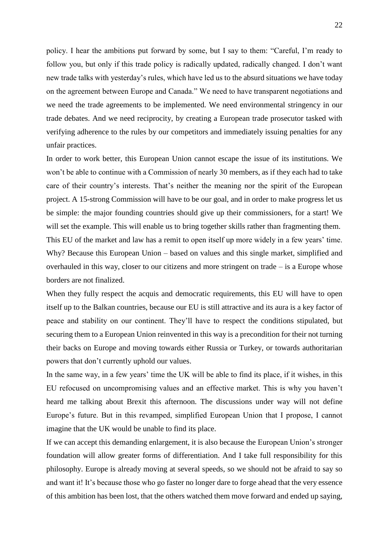policy. I hear the ambitions put forward by some, but I say to them: "Careful, I'm ready to follow you, but only if this trade policy is radically updated, radically changed. I don't want new trade talks with yesterday's rules, which have led us to the absurd situations we have today on the agreement between Europe and Canada." We need to have transparent negotiations and we need the trade agreements to be implemented. We need environmental stringency in our trade debates. And we need reciprocity, by creating a European trade prosecutor tasked with verifying adherence to the rules by our competitors and immediately issuing penalties for any unfair practices.

In order to work better, this European Union cannot escape the issue of its institutions. We won't be able to continue with a Commission of nearly 30 members, as if they each had to take care of their country's interests. That's neither the meaning nor the spirit of the European project. A 15-strong Commission will have to be our goal, and in order to make progress let us be simple: the major founding countries should give up their commissioners, for a start! We will set the example. This will enable us to bring together skills rather than fragmenting them. This EU of the market and law has a remit to open itself up more widely in a few years' time. Why? Because this European Union – based on values and this single market, simplified and overhauled in this way, closer to our citizens and more stringent on trade – is a Europe whose borders are not finalized.

When they fully respect the acquis and democratic requirements, this EU will have to open itself up to the Balkan countries, because our EU is still attractive and its aura is a key factor of peace and stability on our continent. They'll have to respect the conditions stipulated, but securing them to a European Union reinvented in this way is a precondition for their not turning their backs on Europe and moving towards either Russia or Turkey, or towards authoritarian powers that don't currently uphold our values.

In the same way, in a few years' time the UK will be able to find its place, if it wishes, in this EU refocused on uncompromising values and an effective market. This is why you haven't heard me talking about Brexit this afternoon. The discussions under way will not define Europe's future. But in this revamped, simplified European Union that I propose, I cannot imagine that the UK would be unable to find its place.

If we can accept this demanding enlargement, it is also because the European Union's stronger foundation will allow greater forms of differentiation. And I take full responsibility for this philosophy. Europe is already moving at several speeds, so we should not be afraid to say so and want it! It's because those who go faster no longer dare to forge ahead that the very essence of this ambition has been lost, that the others watched them move forward and ended up saying,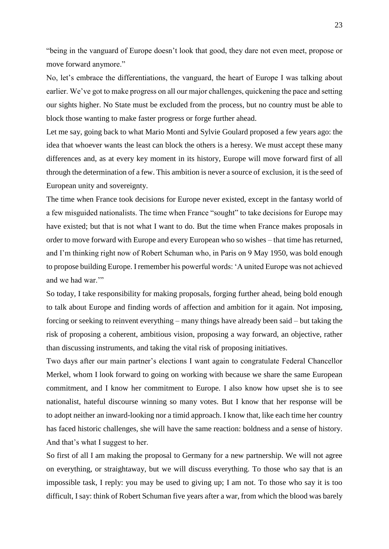"being in the vanguard of Europe doesn't look that good, they dare not even meet, propose or move forward anymore."

No, let's embrace the differentiations, the vanguard, the heart of Europe I was talking about earlier. We've got to make progress on all our major challenges, quickening the pace and setting our sights higher. No State must be excluded from the process, but no country must be able to block those wanting to make faster progress or forge further ahead.

Let me say, going back to what Mario Monti and Sylvie Goulard proposed a few years ago: the idea that whoever wants the least can block the others is a heresy. We must accept these many differences and, as at every key moment in its history, Europe will move forward first of all through the determination of a few. This ambition is never a source of exclusion, it is the seed of European unity and sovereignty.

The time when France took decisions for Europe never existed, except in the fantasy world of a few misguided nationalists. The time when France "sought" to take decisions for Europe may have existed; but that is not what I want to do. But the time when France makes proposals in order to move forward with Europe and every European who so wishes – that time has returned, and I'm thinking right now of Robert Schuman who, in Paris on 9 May 1950, was bold enough to propose building Europe. I remember his powerful words: 'A united Europe was not achieved and we had war.'"

So today, I take responsibility for making proposals, forging further ahead, being bold enough to talk about Europe and finding words of affection and ambition for it again. Not imposing, forcing or seeking to reinvent everything – many things have already been said – but taking the risk of proposing a coherent, ambitious vision, proposing a way forward, an objective, rather than discussing instruments, and taking the vital risk of proposing initiatives.

Two days after our main partner's elections I want again to congratulate Federal Chancellor Merkel, whom I look forward to going on working with because we share the same European commitment, and I know her commitment to Europe. I also know how upset she is to see nationalist, hateful discourse winning so many votes. But I know that her response will be to adopt neither an inward-looking nor a timid approach. I know that, like each time her country has faced historic challenges, she will have the same reaction: boldness and a sense of history. And that's what I suggest to her.

So first of all I am making the proposal to Germany for a new partnership. We will not agree on everything, or straightaway, but we will discuss everything. To those who say that is an impossible task, I reply: you may be used to giving up; I am not. To those who say it is too difficult, I say: think of Robert Schuman five years after a war, from which the blood was barely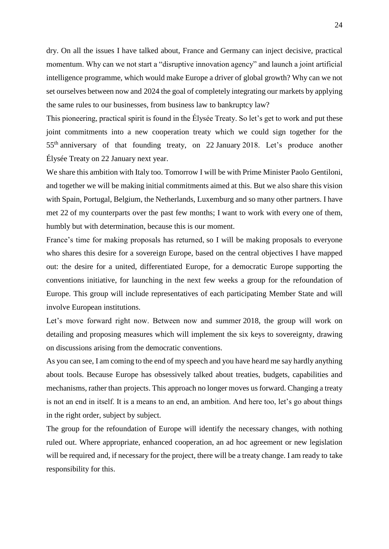dry. On all the issues I have talked about, France and Germany can inject decisive, practical momentum. Why can we not start a "disruptive innovation agency" and launch a joint artificial intelligence programme, which would make Europe a driver of global growth? Why can we not set ourselves between now and 2024 the goal of completely integrating our markets by applying the same rules to our businesses, from business law to bankruptcy law?

This pioneering, practical spirit is found in the Élysée Treaty. So let's get to work and put these joint commitments into a new cooperation treaty which we could sign together for the 55th anniversary of that founding treaty, on 22 January 2018. Let's produce another Élysée Treaty on 22 January next year.

We share this ambition with Italy too. Tomorrow I will be with Prime Minister Paolo Gentiloni, and together we will be making initial commitments aimed at this. But we also share this vision with Spain, Portugal, Belgium, the Netherlands, Luxemburg and so many other partners. I have met 22 of my counterparts over the past few months; I want to work with every one of them, humbly but with determination, because this is our moment.

France's time for making proposals has returned, so I will be making proposals to everyone who shares this desire for a sovereign Europe, based on the central objectives I have mapped out: the desire for a united, differentiated Europe, for a democratic Europe supporting the conventions initiative, for launching in the next few weeks a group for the refoundation of Europe. This group will include representatives of each participating Member State and will involve European institutions.

Let's move forward right now. Between now and summer 2018, the group will work on detailing and proposing measures which will implement the six keys to sovereignty, drawing on discussions arising from the democratic conventions.

As you can see, I am coming to the end of my speech and you have heard me say hardly anything about tools. Because Europe has obsessively talked about treaties, budgets, capabilities and mechanisms, rather than projects. This approach no longer moves us forward. Changing a treaty is not an end in itself. It is a means to an end, an ambition. And here too, let's go about things in the right order, subject by subject.

The group for the refoundation of Europe will identify the necessary changes, with nothing ruled out. Where appropriate, enhanced cooperation, an ad hoc agreement or new legislation will be required and, if necessary for the project, there will be a treaty change. I am ready to take responsibility for this.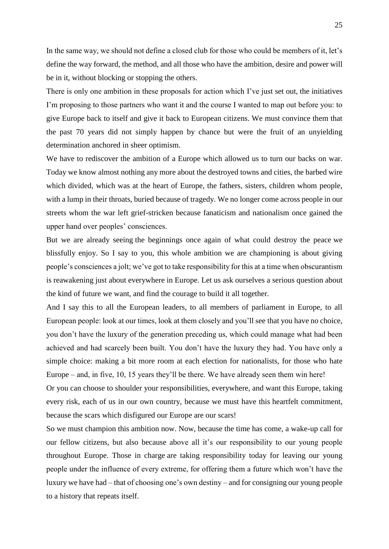In the same way, we should not define a closed club for those who could be members of it, let's define the way forward, the method, and all those who have the ambition, desire and power will be in it, without blocking or stopping the others.

There is only one ambition in these proposals for action which I've just set out, the initiatives I'm proposing to those partners who want it and the course I wanted to map out before you: to give Europe back to itself and give it back to European citizens. We must convince them that the past 70 years did not simply happen by chance but were the fruit of an unyielding determination anchored in sheer optimism.

We have to rediscover the ambition of a Europe which allowed us to turn our backs on war. Today we know almost nothing any more about the destroyed towns and cities, the barbed wire which divided, which was at the heart of Europe, the fathers, sisters, children whom people, with a lump in their throats, buried because of tragedy. We no longer come across people in our streets whom the war left grief-stricken because fanaticism and nationalism once gained the upper hand over peoples' consciences.

But we are already seeing the beginnings once again of what could destroy the peace we blissfully enjoy. So I say to you, this whole ambition we are championing is about giving people's consciences a jolt; we've got to take responsibility for this at a time when obscurantism is reawakening just about everywhere in Europe. Let us ask ourselves a serious question about the kind of future we want, and find the courage to build it all together.

And I say this to all the European leaders, to all members of parliament in Europe, to all European people: look at our times, look at them closely and you'll see that you have no choice, you don't have the luxury of the generation preceding us, which could manage what had been achieved and had scarcely been built. You don't have the luxury they had. You have only a simple choice: making a bit more room at each election for nationalists, for those who hate Europe – and, in five, 10, 15 years they'll be there. We have already seen them win here!

Or you can choose to shoulder your responsibilities, everywhere, and want this Europe, taking every risk, each of us in our own country, because we must have this heartfelt commitment, because the scars which disfigured our Europe are our scars!

So we must champion this ambition now. Now, because the time has come, a wake-up call for our fellow citizens, but also because above all it's our responsibility to our young people throughout Europe. Those in charge are taking responsibility today for leaving our young people under the influence of every extreme, for offering them a future which won't have the luxury we have had – that of choosing one's own destiny – and for consigning our young people to a history that repeats itself.